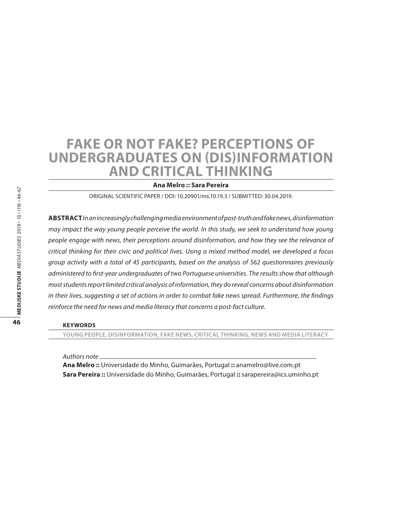# **Fake or Not Fake? Perceptions of Undergraduates on (Dis)Information and Critical Thinking**

**Ana Melro :: Sara Pereira**

ORIGINAL SCIENTIFIC PAPER / DOI: 10.20901/ms.10.19.3 / SUBMITTED: 30.04.2019.

**Abstract** *In an increasingly challenging media environment of post-truth and fake news, disinformation may impact the way young people perceive the world. In this study, we seek to understand how young people engage with news, their perceptions around disinformation, and how they see the relevance of critical thinking for their civic and political lives. Using a mixed method model, we developed a focus group activity with a total of 45 participants, based on the analysis of 562 questionnaires previously administered to first-year undergraduates of two Portuguese universities. The results show that although most students report limited critical analysis of information, they do reveal concerns about disinformation in their lives, suggesting a set of actions in order to combat fake news spread. Furthermore, the findings reinforce the need for news and media literacy that concerns a post-fact culture.*

#### **Keywords**

**young people, disinformation, fake news, critical thinking, news and media literacy** 

*Authors note*

**Ana Melro ::** Universidade do Minho, Guimarães, Portugal **::** anamelro@live.com.pt **Sara Pereira ::** Universidade do Minho, Guimarães, Portugal **::** sarapereira@ics.uminho.pt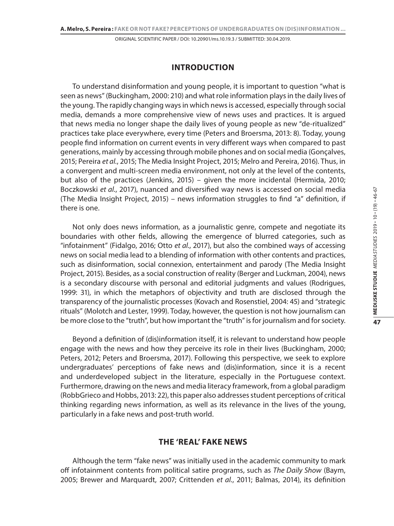## **INTRODUCTION**

To understand disinformation and young people, it is important to question "what is seen as news" (Buckingham, 2000: 210) and what role information plays in the daily lives of the young. The rapidly changing ways in which news is accessed, especially through social media, demands a more comprehensive view of news uses and practices. It is argued that news media no longer shape the daily lives of young people as new "de-ritualized" practices take place everywhere, every time (Peters and Broersma, 2013: 8). Today, young people find information on current events in very different ways when compared to past generations, mainly by accessing through mobile phones and on social media (Gonçalves, 2015; Pereira *et al.*, 2015; The Media Insight Project, 2015; Melro and Pereira, 2016). Thus, in a convergent and multi-screen media environment, not only at the level of the contents, but also of the practices (Jenkins, 2015) – given the more incidental (Hermida, 2010; Boczkowski *et al.*, 2017), nuanced and diversified way news is accessed on social media (The Media Insight Project, 2015) – news information struggles to find "a" definition, if there is one.

Not only does news information, as a journalistic genre, compete and negotiate its boundaries with other fields, allowing the emergence of blurred categories, such as "infotainment" (Fidalgo, 2016; Otto *et al.*, 2017), but also the combined ways of accessing news on social media lead to a blending of information with other contents and practices, such as disinformation, social connexion, entertainment and parody (The Media Insight Project, 2015). Besides, as a social construction of reality (Berger and Luckman, 2004), news is a secondary discourse with personal and editorial judgments and values (Rodrigues, 1999: 31), in which the metaphors of objectivity and truth are disclosed through the transparency of the journalistic processes (Kovach and Rosenstiel, 2004: 45) and "strategic rituals" (Molotch and Lester, 1999). Today, however, the question is not how journalism can be more close to the "truth", but how important the "truth" is for journalism and for society.

Beyond a definition of (dis)information itself, it is relevant to understand how people engage with the news and how they perceive its role in their lives (Buckingham, 2000; Peters, 2012; Peters and Broersma, 2017). Following this perspective, we seek to explore undergraduates' perceptions of fake news and (dis)information, since it is a recent and underdeveloped subject in the literature, especially in the Portuguese context. Furthermore, drawing on the news and media literacy framework, from a global paradigm (RobbGrieco and Hobbs, 2013: 22), this paper also addresses student perceptions of critical thinking regarding news information, as well as its relevance in the lives of the young, particularly in a fake news and post-truth world.

## **THE 'REAL' FAKE NEWS**

Although the term "fake news" was initially used in the academic community to mark off infotainment contents from political satire programs, such as *The Daily Show* (Baym, 2005; Brewer and Marquardt, 2007; Crittenden *et al.*, 2011; Balmas, 2014), its definition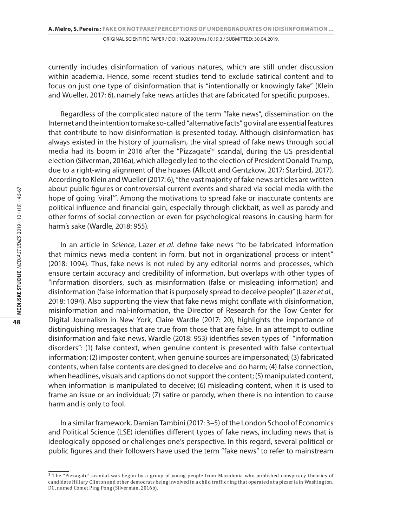currently includes disinformation of various natures, which are still under discussion within academia. Hence, some recent studies tend to exclude satirical content and to focus on just one type of disinformation that is "intentionally or knowingly fake" (Klein and Wueller, 2017: 6), namely fake news articles that are fabricated for specific purposes.

Regardless of the complicated nature of the term "fake news", dissemination on the Internet and the intention to make so-called "alternative facts" go viral are essential features that contribute to how disinformation is presented today. Although disinformation has always existed in the history of journalism, the viral spread of fake news through social media had its boom in 2016 after the "Pizzagate<sup>1</sup>" scandal, during the US presidential election (Silverman, 2016a), which allegedly led to the election of President Donald Trump, due to a right-wing alignment of the hoaxes (Allcott and Gentzkow, 2017; Starbird, 2017). According to Klein and Wueller (2017: 6), "the vast majority of fake news articles are written about public figures or controversial current events and shared via social media with the hope of going 'viral'". Among the motivations to spread fake or inaccurate contents are political influence and financial gain, especially through clickbait, as well as parody and other forms of social connection or even for psychological reasons in causing harm for harm's sake (Wardle, 2018: 955).

In an article in *Science*, Lazer *et al*. define fake news "to be fabricated information that mimics news media content in form, but not in organizational process or intent" (2018: 1094). Thus, fake news is not ruled by any editorial norms and processes, which ensure certain accuracy and credibility of information, but overlaps with other types of "information disorders, such as misinformation (false or misleading information) and disinformation (false information that is purposely spread to deceive people)" (Lazer *et al.*, 2018: 1094). Also supporting the view that fake news might conflate with disinformation, misinformation and mal-information, the Director of Research for the Tow Center for Digital Journalism in New York, Claire Wardle (2017: 20), highlights the importance of distinguishing messages that are true from those that are false. In an attempt to outline disinformation and fake news, Wardle (2018: 953) identifies seven types of "information disorders": (1) false context, when genuine content is presented with false contextual information; (2) imposter content, when genuine sources are impersonated; (3) fabricated contents, when false contents are designed to deceive and do harm; (4) false connection, when headlines, visuals and captions do not support the content; (5) manipulated content, when information is manipulated to deceive; (6) misleading content, when it is used to frame an issue or an individual; (7) satire or parody, when there is no intention to cause harm and is only to fool.

In a similar framework, Damian Tambini (2017: 3–5) of the London School of Economics and Political Science (LSE) identifies different types of fake news, including news that is ideologically opposed or challenges one's perspective. In this regard, several political or public figures and their followers have used the term "fake news" to refer to mainstream

<sup>1</sup> The "Pizzagate" scandal was begun by a group of young people from Macedonia who published conspiracy theories of candidate Hillary Clinton and other democrats being involved in a child traffic ring that operated at a pizzeria in Washington, DC, named Comet Ping Pong (Silverman, 2016b).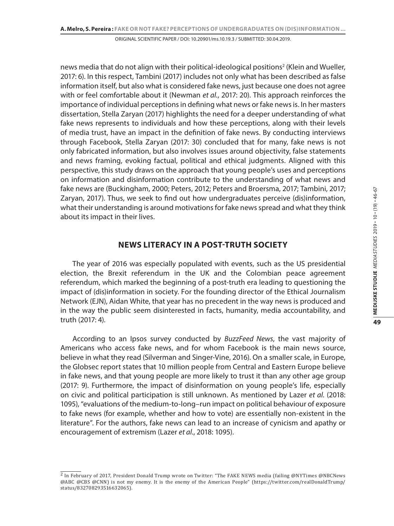news media that do not align with their political-ideological positions<sup>2</sup> (Klein and Wueller, 2017: 6). In this respect, Tambini (2017) includes not only what has been described as false information itself, but also what is considered fake news, just because one does not agree with or feel comfortable about it (Newman *et al.*, 2017: 20). This approach reinforces the importance of individual perceptions in defining what news or fake news is. In her masters dissertation, Stella Zaryan (2017) highlights the need for a deeper understanding of what fake news represents to individuals and how these perceptions, along with their levels of media trust, have an impact in the definition of fake news. By conducting interviews through Facebook, Stella Zaryan (2017: 30) concluded that for many, fake news is not only fabricated information, but also involves issues around objectivity, false statements and news framing, evoking factual, political and ethical judgments. Aligned with this perspective, this study draws on the approach that young people's uses and perceptions on information and disinformation contribute to the understanding of what news and fake news are (Buckingham, 2000; Peters, 2012; Peters and Broersma, 2017; Tambini, 2017; Zaryan, 2017). Thus, we seek to find out how undergraduates perceive (dis)information, what their understanding is around motivations for fake news spread and what they think about its impact in their lives.

## **NEWS LITERACY IN A POST-TRUTH SOCIETY**

The year of 2016 was especially populated with events, such as the US presidential election, the Brexit referendum in the UK and the Colombian peace agreement referendum, which marked the beginning of a post-truth era leading to questioning the impact of (dis)information in society. For the founding director of the Ethical Journalism Network (EJN), Aidan White, that year has no precedent in the way news is produced and in the way the public seem disinterested in facts, humanity, media accountability, and truth (2017: 4).

According to an Ipsos survey conducted by *BuzzFeed News*, the vast majority of Americans who access fake news, and for whom Facebook is the main news source, believe in what they read (Silverman and Singer-Vine, 2016). On a smaller scale, in Europe, the Globsec report states that 10 million people from Central and Eastern Europe believe in fake news, and that young people are more likely to trust it than any other age group (2017: 9). Furthermore, the impact of disinformation on young people's life, especially on civic and political participation is still unknown. As mentioned by Lazer *et al*. (2018: 1095), "evaluations of the medium-to-long–run impact on political behaviour of exposure to fake news (for example, whether and how to vote) are essentially non-existent in the literature". For the authors, fake news can lead to an increase of cynicism and apathy or encouragement of extremism (Lazer *et al.*, 2018: 1095).

<sup>2</sup> In February of 2017, President Donald Trump wrote on Twitter: "The FAKE NEWS media (failing @NYTimes @NBCNews @ABC @CBS @CNN) is not my enemy. It is the enemy of the American People" (https://twitter.com/realDonaldTrump/ status/832708293516632065).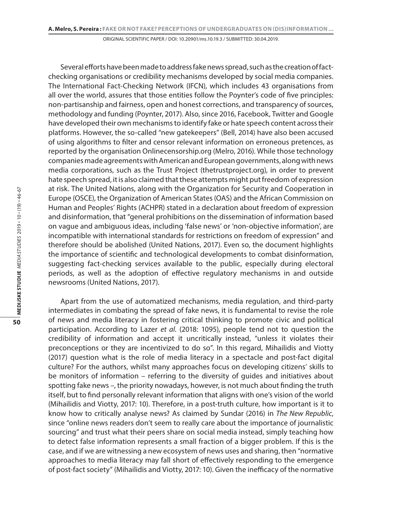Several efforts have been made to address fake news spread, such as the creation of factchecking organisations or credibility mechanisms developed by social media companies. The International Fact-Checking Network (IFCN), which includes 43 organisations from all over the world, assures that those entities follow the Poynter's code of five principles: non-partisanship and fairness, open and honest corrections, and transparency of sources, methodology and funding (Poynter, 2017). Also, since 2016, Facebook, Twitter and Google have developed their own mechanisms to identify fake or hate speech content across their platforms. However, the so-called "new gatekeepers" (Bell, 2014) have also been accused of using algorithms to filter and censor relevant information on erroneous pretences, as reported by the organisation Onlinecensorship.org (Melro, 2016). While those technology companies made agreements with American and European governments, along with news media corporations, such as the Trust Project (thetrustproject.org), in order to prevent hate speech spread, it is also claimed that these attempts might put freedom of expression at risk. The United Nations, along with the Organization for Security and Cooperation in Europe (OSCE), the Organization of American States (OAS) and the African Commission on Human and Peoples' Rights (ACHPR) stated in a declaration about freedom of expression and disinformation, that "general prohibitions on the dissemination of information based on vague and ambiguous ideas, including 'false news' or 'non-objective information', are incompatible with international standards for restrictions on freedom of expression" and therefore should be abolished (United Nations, 2017). Even so, the document highlights the importance of scientific and technological developments to combat disinformation, suggesting fact-checking services available to the public, especially during electoral periods, as well as the adoption of effective regulatory mechanisms in and outside newsrooms (United Nations, 2017).

Apart from the use of automatized mechanisms, media regulation, and third-party intermediates in combating the spread of fake news, it is fundamental to revise the role of news and media literacy in fostering critical thinking to promote civic and political participation. According to Lazer *et al*. (2018: 1095), people tend not to question the credibility of information and accept it uncritically instead, "unless it violates their preconceptions or they are incentivized to do so". In this regard, Mihailidis and Viotty (2017) question what is the role of media literacy in a spectacle and post-fact digital culture? For the authors, whilst many approaches focus on developing citizens' skills to be monitors of information – referring to the diversity of guides and initiatives about spotting fake news –, the priority nowadays, however, is not much about finding the truth itself, but to find personally relevant information that aligns with one's vision of the world (Mihailidis and Viotty, 2017: 10). Therefore, in a post-truth culture, how important is it to know how to critically analyse news? As claimed by Sundar (2016) in *The New Republic*, since "online news readers don't seem to really care about the importance of journalistic sourcing" and trust what their peers share on social media instead, simply teaching how to detect false information represents a small fraction of a bigger problem. If this is the case, and if we are witnessing a new ecosystem of news uses and sharing, then "normative approaches to media literacy may fall short of effectively responding to the emergence of post-fact society" (Mihailidis and Viotty, 2017: 10). Given the inefficacy of the normative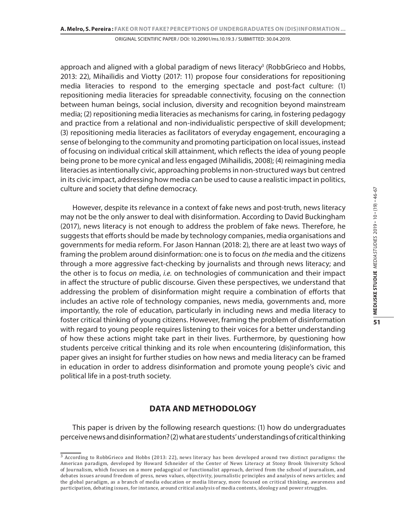approach and aligned with a global paradigm of news literacy<sup>3</sup> (RobbGrieco and Hobbs, 2013: 22), Mihailidis and Viotty (2017: 11) propose four considerations for repositioning media literacies to respond to the emerging spectacle and post-fact culture: (1) repositioning media literacies for spreadable connectivity, focusing on the connection between human beings, social inclusion, diversity and recognition beyond mainstream media; (2) repositioning media literacies as mechanisms for caring, in fostering pedagogy and practice from a relational and non-individualistic perspective of skill development; (3) repositioning media literacies as facilitators of everyday engagement, encouraging a sense of belonging to the community and promoting participation on local issues, instead of focusing on individual critical skill attainment, which reflects the idea of young people being prone to be more cynical and less engaged (Mihailidis, 2008); (4) reimagining media literacies as intentionally civic, approaching problems in non-structured ways but centred in its civic impact, addressing how media can be used to cause a realistic impact in politics, culture and society that define democracy.

However, despite its relevance in a context of fake news and post-truth, news literacy may not be the only answer to deal with disinformation. According to David Buckingham (2017), news literacy is not enough to address the problem of fake news. Therefore, he suggests that efforts should be made by technology companies, media organisations and governments for media reform. For Jason Hannan (2018: 2), there are at least two ways of framing the problem around disinformation: one is to focus on *the* media and the citizens through a more aggressive fact-checking by journalists and through news literacy; and the other is to focus *on* media, *i.e.* on technologies of communication and their impact in affect the structure of public discourse. Given these perspectives, we understand that addressing the problem of disinformation might require a combination of efforts that includes an active role of technology companies, news media, governments and, more importantly, the role of education, particularly in including news and media literacy to foster critical thinking of young citizens. However, framing the problem of disinformation with regard to young people requires listening to their voices for a better understanding of how these actions might take part in their lives. Furthermore, by questioning how students perceive critical thinking and its role when encountering (dis)information, this paper gives an insight for further studies on how news and media literacy can be framed in education in order to address disinformation and promote young people's civic and political life in a post-truth society.

## **DATA AND METHODOLOGY**

This paper is driven by the following research questions: (1) how do undergraduates perceive news and disinformation? (2) what are students' understandings of critical thinking

<sup>3</sup> According to RobbGrieco and Hobbs (2013: 22), news literacy has been developed around two distinct paradigms: the American paradigm, developed by Howard Schneider of the Center of News Literacy at Stony Brook University School of Journalism, which focuses on a more pedagogical or functionalist approach, derived from the school of journalism, and debates issues around freedom of press, news values, objectivity, journalistic principles and analysis of news articles; and the global paradigm, as a branch of media education or media literacy, more focused on critical thinking, awareness and participation, debating issues, for instance, around critical analysis of media contents, ideology and power struggles.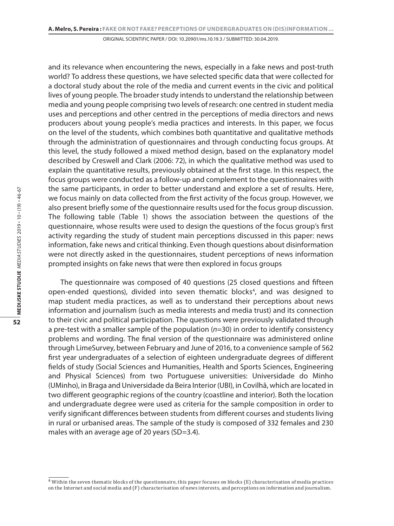and its relevance when encountering the news, especially in a fake news and post-truth world? To address these questions, we have selected specific data that were collected for a doctoral study about the role of the media and current events in the civic and political lives of young people. The broader study intends to understand the relationship between media and young people comprising two levels of research: one centred in student media uses and perceptions and other centred in the perceptions of media directors and news producers about young people's media practices and interests. In this paper, we focus on the level of the students, which combines both quantitative and qualitative methods through the administration of questionnaires and through conducting focus groups. At this level, the study followed a mixed method design, based on the explanatory model described by Creswell and Clark (2006: 72), in which the qualitative method was used to explain the quantitative results, previously obtained at the first stage. In this respect, the focus groups were conducted as a follow-up and complement to the questionnaires with the same participants, in order to better understand and explore a set of results. Here, we focus mainly on data collected from the first activity of the focus group. However, we also present briefly some of the questionnaire results used for the focus group discussion. The following table (Table 1) shows the association between the questions of the questionnaire, whose results were used to design the questions of the focus group's first activity regarding the study of student main perceptions discussed in this paper: news information, fake news and critical thinking. Even though questions about disinformation were not directly asked in the questionnaires, student perceptions of news information prompted insights on fake news that were then explored in focus groups

The questionnaire was composed of 40 questions (25 closed questions and fifteen open-ended questions), divided into seven thematic blocks4 , and was designed to map student media practices, as well as to understand their perceptions about news information and journalism (such as media interests and media trust) and its connection to their civic and political participation. The questions were previously validated through a pre-test with a smaller sample of the population (*n*=30) in order to identify consistency problems and wording. The final version of the questionnaire was administered online through LimeSurvey, between February and June of 2016, to a convenience sample of 562 first year undergraduates of a selection of eighteen undergraduate degrees of different fields of study (Social Sciences and Humanities, Health and Sports Sciences, Engineering and Physical Sciences) from two Portuguese universities: Universidade do Minho (UMinho), in Braga and Universidade da Beira Interior (UBI), in Covilhã, which are located in two different geographic regions of the country (coastline and interior). Both the location and undergraduate degree were used as criteria for the sample composition in order to verify significant differences between students from different courses and students living in rural or urbanised areas. The sample of the study is composed of 332 females and 230 males with an average age of 20 years (SD=3.4).

 $\frac{4}{3}$  Within the seven thematic blocks of the questionnaire, this paper focuses on blocks (E) characterisation of media practices on the Internet and social media and (F) characterisation of news interests, and perceptions on information and journalism.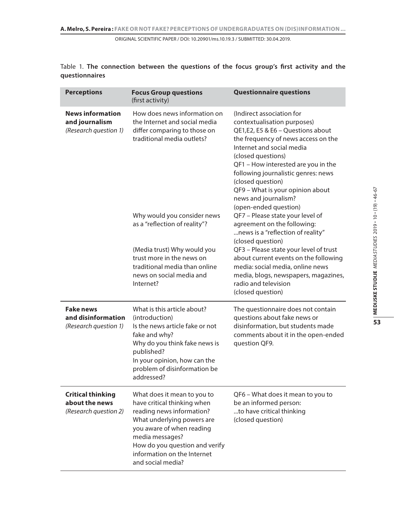| <b>Perceptions</b>                                                  | <b>Focus Group questions</b><br>(first activity)                                                                                                                                                                                                            | <b>Questionnaire questions</b>                                                                                                                                                                                                                                                                                                                                                  |
|---------------------------------------------------------------------|-------------------------------------------------------------------------------------------------------------------------------------------------------------------------------------------------------------------------------------------------------------|---------------------------------------------------------------------------------------------------------------------------------------------------------------------------------------------------------------------------------------------------------------------------------------------------------------------------------------------------------------------------------|
| <b>News information</b><br>and journalism<br>(Research question 1)  | How does news information on<br>the Internet and social media<br>differ comparing to those on<br>traditional media outlets?                                                                                                                                 | (Indirect association for<br>contextualisation purposes)<br>QE1,E2, E5 & E6 - Questions about<br>the frequency of news access on the<br>Internet and social media<br>(closed questions)<br>QF1 - How interested are you in the<br>following journalistic genres: news<br>(closed question)<br>QF9 - What is your opinion about<br>news and journalism?<br>(open-ended question) |
|                                                                     | Why would you consider news<br>as a "reflection of reality"?                                                                                                                                                                                                | QF7 - Please state your level of<br>agreement on the following:<br>news is a "reflection of reality"<br>(closed question)                                                                                                                                                                                                                                                       |
|                                                                     | (Media trust) Why would you<br>trust more in the news on<br>traditional media than online<br>news on social media and<br>Internet?                                                                                                                          | QF3 - Please state your level of trust<br>about current events on the following<br>media: social media, online news<br>media, blogs, newspapers, magazines,<br>radio and television<br>(closed question)                                                                                                                                                                        |
| <b>Fake news</b><br>and disinformation<br>(Research question 1)     | What is this article about?<br>(introduction)<br>Is the news article fake or not<br>fake and why?<br>Why do you think fake news is<br>published?<br>In your opinion, how can the<br>problem of disinformation be<br>addressed?                              | The questionnaire does not contain<br>questions about fake news or<br>disinformation, but students made<br>comments about it in the open-ended<br>question QF9.                                                                                                                                                                                                                 |
| <b>Critical thinking</b><br>about the news<br>(Research question 2) | What does it mean to you to<br>have critical thinking when<br>reading news information?<br>What underlying powers are<br>you aware of when reading<br>media messages?<br>How do you question and verify<br>information on the Internet<br>and social media? | QF6 - What does it mean to you to<br>be an informed person:<br>to have critical thinking<br>(closed question)                                                                                                                                                                                                                                                                   |

Table 1. **The connection between the questions of the focus group's first activity and the questionnaires**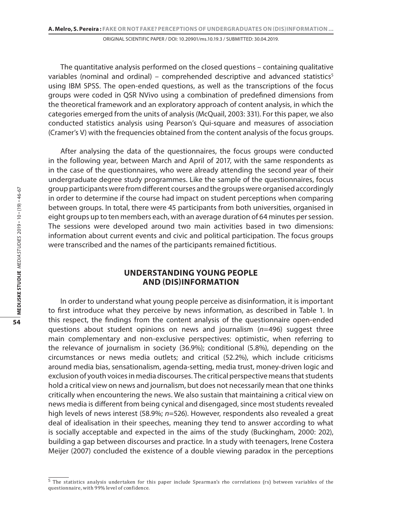The quantitative analysis performed on the closed questions – containing qualitative variables (nominal and ordinal) – comprehended descriptive and advanced statistics<sup>5</sup> using IBM SPSS. The open-ended questions, as well as the transcriptions of the focus groups were coded in QSR NVivo using a combination of predefined dimensions from the theoretical framework and an exploratory approach of content analysis, in which the categories emerged from the units of analysis (McQuail, 2003: 331). For this paper, we also conducted statistics analysis using Pearson's Qui-square and measures of association (Cramer's V) with the frequencies obtained from the content analysis of the focus groups.

After analysing the data of the questionnaires, the focus groups were conducted in the following year, between March and April of 2017, with the same respondents as in the case of the questionnaires, who were already attending the second year of their undergraduate degree study programmes. Like the sample of the questionnaires, focus group participants were from different courses and the groups were organised accordingly in order to determine if the course had impact on student perceptions when comparing between groups. In total, there were 45 participants from both universities, organised in eight groups up to ten members each, with an average duration of 64 minutes per session. The sessions were developed around two main activities based in two dimensions: information about current events and civic and political participation. The focus groups were transcribed and the names of the participants remained fictitious.

## **UNDERSTANDING YOUNG PEOPLE AND (DIS)INFORMATION**

In order to understand what young people perceive as disinformation, it is important to first introduce what they perceive by news information, as described in Table 1. In this respect, the findings from the content analysis of the questionnaire open-ended questions about student opinions on news and journalism (*n*=496) suggest three main complementary and non-exclusive perspectives: optimistic, when referring to the relevance of journalism in society (36.9%); conditional (5.8%), depending on the circumstances or news media outlets; and critical (52.2%), which include criticisms around media bias, sensationalism, agenda-setting, media trust, money-driven logic and exclusion of youth voices in media discourses. The critical perspective means that students hold a critical view on news and journalism, but does not necessarily mean that one thinks critically when encountering the news. We also sustain that maintaining a critical view on news media is different from being cynical and disengaged, since most students revealed high levels of news interest (58.9%; *n*=526). However, respondents also revealed a great deal of idealisation in their speeches, meaning they tend to answer according to what is socially acceptable and expected in the aims of the study (Buckingham, 2000: 202), building a gap between discourses and practice. In a study with teenagers, Irene Costera Meijer (2007) concluded the existence of a double viewing paradox in the perceptions

 $\frac{1}{5}$  The statistics analysis undertaken for this paper include Spearman's rho correlations (rs) between variables of the questionnaire, with 99% level of confidence.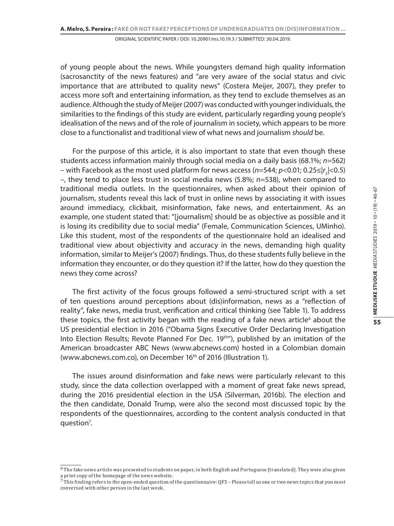of young people about the news. While youngsters demand high quality information (sacrosanctity of the news features) and "are very aware of the social status and civic importance that are attributed to quality news" (Costera Meijer, 2007), they prefer to access more soft and entertaining information, as they tend to exclude themselves as an audience. Although the study of Meijer (2007) was conducted with younger individuals, the similarities to the findings of this study are evident, particularly regarding young people's idealisation of the news and of the role of journalism in society, which appears to be more close to a functionalist and traditional view of what news and journalism *should* be.

For the purpose of this article, it is also important to state that even though these students access information mainly through social media on a daily basis (68.1%; *n*=562) – with Facebook as the most used platform for news access (*n*=544; *p*<0.01; 0.25≤|*r S* |<0.5) –, they tend to place less trust in social media news (5.8%; *n*=538), when compared to traditional media outlets. In the questionnaires, when asked about their opinion of journalism, students reveal this lack of trust in online news by associating it with issues around immediacy, clickbait, misinformation, fake news, and entertainment. As an example, one student stated that: "[journalism] should be as objective as possible and it is losing its credibility due to social media" (Female, Communication Sciences, UMinho). Like this student, most of the respondents of the questionnaire hold an idealised and traditional view about objectivity and accuracy in the news, demanding high quality information, similar to Meijer's (2007) findings. Thus, do these students fully believe in the information they encounter, or do they question it? If the latter, how do they question the news they come across?

The first activity of the focus groups followed a semi-structured script with a set of ten questions around perceptions about (dis)information, news as a "reflection of reality", fake news, media trust, verification and critical thinking (see Table 1). To address these topics, the first activity began with the reading of a fake news article<sup>6</sup> about the US presidential election in 2016 ("Obama Signs Executive Order Declaring Investigation Into Election Results; Revote Planned For Dec. 19th"), published by an imitation of the American broadcaster ABC News (www.abcnews.com) hosted in a Colombian domain (www.abcnews.com.co), on December 16<sup>th</sup> of 2016 (Illustration 1).

The issues around disinformation and fake news were particularly relevant to this study, since the data collection overlapped with a moment of great fake news spread, during the 2016 presidential election in the USA (Silverman, 2016b). The election and the then candidate, Donald Trump, were also the second most discussed topic by the respondents of the questionnaires, according to the content analysis conducted in that question<sup>7</sup>.

<sup>6</sup> The fake news article was presented to students on paper, in both English and Portuguese (translated). They were also given

a print copy of the homepage of the news website. 7 This finding refers to the open-ended question of the questionnaire: QF5 – Please tell us one or two news topics that you most conversed with other person in the last week.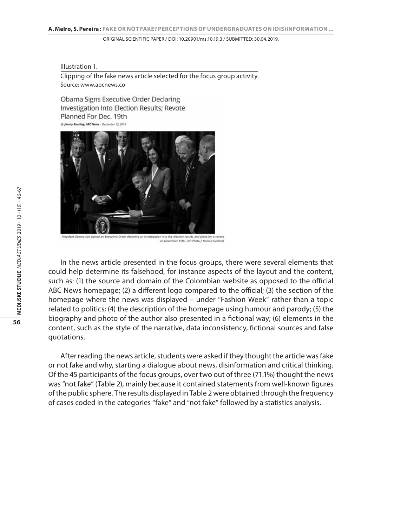#### Illustration 1.

Clipping of the fake news article selected for the focus group activity. Source: www.abcnews.co

Obama Signs Executive Order Declaring Investigation Into Election Results; Revote Planned For Dec. 19th



nd plans for a rei on December 19th. (AP Photo / Dennis System)

In the news article presented in the focus groups, there were several elements that could help determine its falsehood, for instance aspects of the layout and the content, such as: (1) the source and domain of the Colombian website as opposed to the official ABC News homepage; (2) a different logo compared to the official; (3) the section of the homepage where the news was displayed – under "Fashion Week" rather than a topic related to politics; (4) the description of the homepage using humour and parody; (5) the biography and photo of the author also presented in a fictional way; (6) elements in the content, such as the style of the narrative, data inconsistency, fictional sources and false quotations.

After reading the news article, students were asked if they thought the article was fake or not fake and why, starting a dialogue about news, disinformation and critical thinking. Of the 45 participants of the focus groups, over two out of three (71.1%) thought the news was "not fake" (Table 2), mainly because it contained statements from well-known figures of the public sphere. The results displayed in Table 2 were obtained through the frequency of cases coded in the categories "fake" and "not fake" followed by a statistics analysis.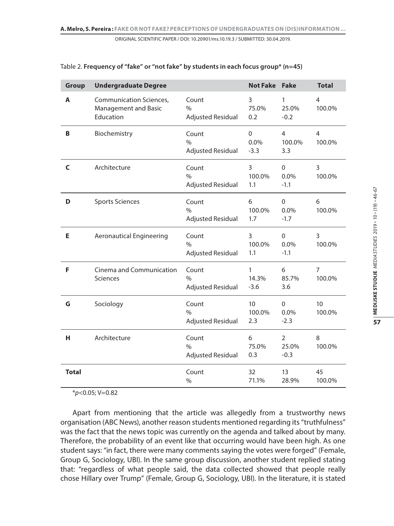| Group        | <b>Undergraduate Degree</b>                                         |                                                    | <b>Not Fake Fake</b>            |                                  | <b>Total</b>             |
|--------------|---------------------------------------------------------------------|----------------------------------------------------|---------------------------------|----------------------------------|--------------------------|
| A            | Communication Sciences,<br><b>Management and Basic</b><br>Education | Count<br>$\frac{0}{0}$<br>Adjusted Residual        | $\overline{3}$<br>75.0%<br>0.2  | 1<br>25.0%<br>$-0.2$             | 4<br>100.0%              |
| В            | Biochemistry                                                        | Count<br>$\frac{0}{0}$<br>Adjusted Residual        | $\Omega$<br>$0.0\%$<br>$-3.3$   | 4<br>100.0%<br>3.3               | 4<br>100.0%              |
| C            | Architecture                                                        | Count<br>$\frac{0}{0}$<br><b>Adjusted Residual</b> | 3<br>100.0%<br>1.1              | $\mathbf 0$<br>0.0%<br>$-1.1$    | 3<br>100.0%              |
| D            | <b>Sports Sciences</b>                                              | Count<br>$\frac{0}{0}$<br><b>Adjusted Residual</b> | 6<br>100.0%<br>1.7              | $\mathbf 0$<br>$0.0\%$<br>$-1.7$ | 6<br>100.0%              |
| Е            | <b>Aeronautical Engineering</b>                                     | Count<br>$\frac{0}{0}$<br>Adjusted Residual        | $\overline{3}$<br>100.0%<br>1.1 | $\Omega$<br>$0.0\%$<br>$-1.1$    | 3<br>100.0%              |
| F            | Cinema and Communication<br>Sciences                                | Count<br>$\frac{0}{0}$<br><b>Adjusted Residual</b> | 1<br>14.3%<br>$-3.6$            | 6<br>85.7%<br>3.6                | $\overline{7}$<br>100.0% |
| G            | Sociology                                                           | Count<br>$\frac{0}{0}$<br>Adjusted Residual        | 10<br>100.0%<br>2.3             | $\mathbf{0}$<br>0.0%<br>$-2.3$   | 10<br>100.0%             |
| н            | Architecture                                                        | Count<br>$\frac{0}{0}$<br>Adjusted Residual        | 6<br>75.0%<br>0.3               | 2<br>25.0%<br>$-0.3$             | 8<br>100.0%              |
| <b>Total</b> |                                                                     | Count<br>$\frac{0}{0}$                             | 32<br>71.1%                     | 13<br>28.9%                      | 45<br>100.0%             |

Table 2. **Frequency of "fake" or "not fake" by students in each focus group\* (n=45)**

\**p*<0.05; V=0.82

Apart from mentioning that the article was allegedly from a trustworthy news organisation (ABC News), another reason students mentioned regarding its "truthfulness" was the fact that the news topic was currently on the agenda and talked about by many. Therefore, the probability of an event like that occurring would have been high. As one student says: "in fact, there were many comments saying the votes were forged" (Female, Group G, Sociology, UBI). In the same group discussion, another student replied stating that: "regardless of what people said, the data collected showed that people really chose Hillary over Trump" (Female, Group G, Sociology, UBI). In the literature, it is stated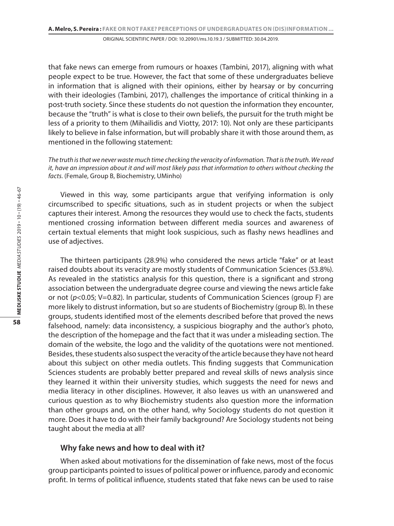that fake news can emerge from rumours or hoaxes (Tambini, 2017), aligning with what people expect to be true. However, the fact that some of these undergraduates believe in information that is aligned with their opinions, either by hearsay or by concurring with their ideologies (Tambini, 2017), challenges the importance of critical thinking in a post-truth society. Since these students do not question the information they encounter, because the "truth" is what is close to their own beliefs, the pursuit for the truth might be less of a priority to them (Mihailidis and Viotty, 2017: 10). Not only are these participants likely to believe in false information, but will probably share it with those around them, as mentioned in the following statement:

## *The truth is that we never waste much time checking the veracity of information. That is the truth. We read it, have an impression about it and will most likely pass that information to others without checking the facts.* (Female, Group B, Biochemistry, UMinho)

Viewed in this way, some participants argue that verifying information is only circumscribed to specific situations, such as in student projects or when the subject captures their interest. Among the resources they would use to check the facts, students mentioned crossing information between different media sources and awareness of certain textual elements that might look suspicious, such as flashy news headlines and use of adjectives.

The thirteen participants (28.9%) who considered the news article "fake" or at least raised doubts about its veracity are mostly students of Communication Sciences (53.8%). As revealed in the statistics analysis for this question, there is a significant and strong association between the undergraduate degree course and viewing the news article fake or not (*p*<0.05; V=0.82). In particular, students of Communication Sciences (group F) are more likely to distrust information, but so are students of Biochemistry (group B). In these groups, students identified most of the elements described before that proved the news falsehood, namely: data inconsistency, a suspicious biography and the author's photo, the description of the homepage and the fact that it was under a misleading section. The domain of the website, the logo and the validity of the quotations were not mentioned. Besides, these students also suspect the veracity of the article because they have not heard about this subject on other media outlets. This finding suggests that Communication Sciences students are probably better prepared and reveal skills of news analysis since they learned it within their university studies, which suggests the need for news and media literacy in other disciplines. However, it also leaves us with an unanswered and curious question as to why Biochemistry students also question more the information than other groups and, on the other hand, why Sociology students do not question it more. Does it have to do with their family background? Are Sociology students not being taught about the media at all?

## **Why fake news and how to deal with it?**

When asked about motivations for the dissemination of fake news, most of the focus group participants pointed to issues of political power or influence, parody and economic profit. In terms of political influence, students stated that fake news can be used to raise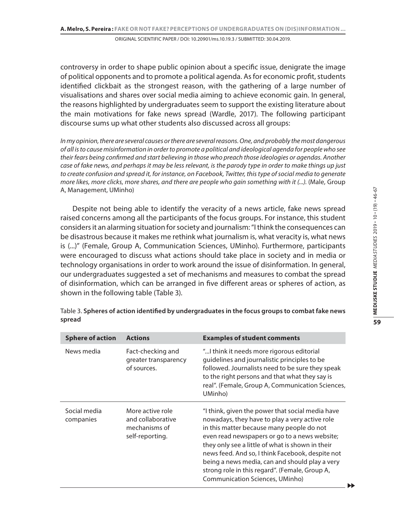controversy in order to shape public opinion about a specific issue, denigrate the image of political opponents and to promote a political agenda. As for economic profit, students identified clickbait as the strongest reason, with the gathering of a large number of visualisations and shares over social media aiming to achieve economic gain. In general, the reasons highlighted by undergraduates seem to support the existing literature about the main motivations for fake news spread (Wardle, 2017). The following participant discourse sums up what other students also discussed across all groups:

*In my opinion, there are several causes or there are several reasons. One, and probably the most dangerous of all is to cause misinformation in order to promote a political and ideological agenda for people who see their fears being confirmed and start believing in those who preach those ideologies or agendas. Another case of fake news, and perhaps it may be less relevant, is the parody type in order to make things up just to create confusion and spread it, for instance, on Facebook, Twitter, this type of social media to generate more likes, more clicks, more shares, and there are people who gain something with it (...).* (Male, Group A, Management, UMinho)

Despite not being able to identify the veracity of a news article, fake news spread raised concerns among all the participants of the focus groups. For instance, this student considers it an alarming situation for society and journalism: "I think the consequences can be disastrous because it makes me rethink what journalism is, what veracity is, what news is (...)" (Female, Group A, Communication Sciences, UMinho). Furthermore, participants were encouraged to discuss what actions should take place in society and in media or technology organisations in order to work around the issue of disinformation. In general, our undergraduates suggested a set of mechanisms and measures to combat the spread of disinformation, which can be arranged in five different areas or spheres of action, as shown in the following table (Table 3).

| <b>Sphere of action</b>   | <b>Actions</b>                                                            | <b>Examples of student comments</b>                                                                                                                                                                                                                                                                                                                                                                                                             |
|---------------------------|---------------------------------------------------------------------------|-------------------------------------------------------------------------------------------------------------------------------------------------------------------------------------------------------------------------------------------------------------------------------------------------------------------------------------------------------------------------------------------------------------------------------------------------|
| News media                | Fact-checking and<br>greater transparency<br>of sources.                  | " I think it needs more rigorous editorial<br>quidelines and journalistic principles to be<br>followed. Journalists need to be sure they speak<br>to the right persons and that what they say is<br>real". (Female, Group A, Communication Sciences,<br>UMinho)                                                                                                                                                                                 |
| Social media<br>companies | More active role<br>and collaborative<br>mechanisms of<br>self-reporting. | "I think, given the power that social media have<br>nowadays, they have to play a very active role<br>in this matter because many people do not<br>even read newspapers or go to a news website;<br>they only see a little of what is shown in their<br>news feed. And so, I think Facebook, despite not<br>being a news media, can and should play a very<br>strong role in this regard". (Female, Group A,<br>Communication Sciences, UMinho) |

Table 3. **Spheres of action identified by undergraduates in the focus groups to combat fake news spread**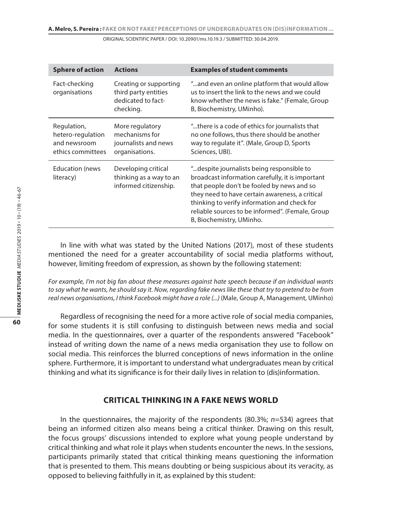| <b>Sphere of action</b>                                               | <b>Actions</b>                                                                    | <b>Examples of student comments</b>                                                                                                                                                                                                                                                                                            |
|-----------------------------------------------------------------------|-----------------------------------------------------------------------------------|--------------------------------------------------------------------------------------------------------------------------------------------------------------------------------------------------------------------------------------------------------------------------------------------------------------------------------|
| Fact-checking<br>organisations                                        | Creating or supporting<br>third party entities<br>dedicated to fact-<br>checking. | "and even an online platform that would allow<br>us to insert the link to the news and we could<br>know whether the news is fake." (Female, Group<br>B, Biochemistry, UMinho).                                                                                                                                                 |
| Regulation,<br>hetero-regulation<br>and newsroom<br>ethics committees | More regulatory<br>mechanisms for<br>journalists and news<br>organisations.       | "there is a code of ethics for journalists that"<br>no one follows, thus there should be another<br>way to regulate it". (Male, Group D, Sports<br>Sciences, UBI).                                                                                                                                                             |
| <b>Education (news</b><br>literacy)                                   | Developing critical<br>thinking as a way to an<br>informed citizenship.           | despite journalists being responsible to"<br>broadcast information carefully, it is important<br>that people don't be fooled by news and so<br>they need to have certain awareness, a critical<br>thinking to verify information and check for<br>reliable sources to be informed". (Female, Group<br>B, Biochemistry, UMinho. |

In line with what was stated by the United Nations (2017), most of these students mentioned the need for a greater accountability of social media platforms without, however, limiting freedom of expression, as shown by the following statement:

*For example, I'm not big fan about these measures against hate speech because if an individual wants to say what he wants, he should say it. Now, regarding fake news like these that try to pretend to be from real news organisations, I think Facebook might have a role (...)* (Male, Group A, Management, UMinho)

Regardless of recognising the need for a more active role of social media companies, for some students it is still confusing to distinguish between news media and social media. In the questionnaires, over a quarter of the respondents answered "Facebook" instead of writing down the name of a news media organisation they use to follow on social media. This reinforces the blurred conceptions of news information in the online sphere. Furthermore, it is important to understand what undergraduates mean by critical thinking and what its significance is for their daily lives in relation to (dis)information.

## **CRITICAL THINKING IN A FAKE NEWS WORLD**

In the questionnaires, the majority of the respondents (80.3%; *n*=534) agrees that being an informed citizen also means being a critical thinker. Drawing on this result, the focus groups' discussions intended to explore what young people understand by critical thinking and what role it plays when students encounter the news. In the sessions, participants primarily stated that critical thinking means questioning the information that is presented to them. This means doubting or being suspicious about its veracity, as opposed to believing faithfully in it, as explained by this student: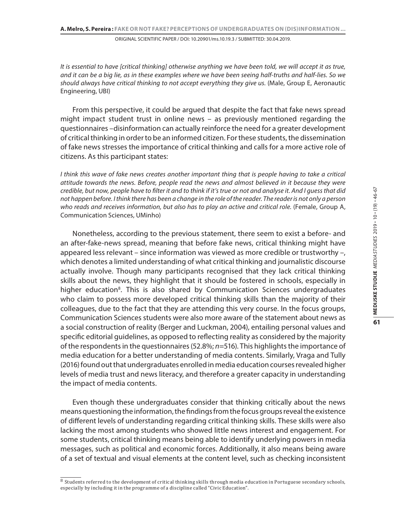*It is essential to have [critical thinking] otherwise anything we have been told, we will accept it as true, and it can be a big lie, as in these examples where we have been seeing half-truths and half-lies. So we should always have critical thinking to not accept everything they give us.* (Male, Group E, Aeronautic Engineering, UBI)

From this perspective, it could be argued that despite the fact that fake news spread might impact student trust in online news – as previously mentioned regarding the questionnaires –disinformation can actually reinforce the need for a greater development of critical thinking in order to be an informed citizen. For these students, the dissemination of fake news stresses the importance of critical thinking and calls for a more active role of citizens. As this participant states:

*I think this wave of fake news creates another important thing that is people having to take a critical attitude towards the news. Before, people read the news and almost believed in it because they were credible, but now, people have to filter it and to think if it's true or not and analyse it. And I guess that did not happen before. I think there has been a change in the role of the reader. The reader is not only a person*  who reads and receives information, but also has to play an active and critical role. (Female, Group A, Communication Sciences, UMinho)

Nonetheless, according to the previous statement, there seem to exist a before- and an after-fake-news spread, meaning that before fake news, critical thinking might have appeared less relevant – since information was viewed as more credible or trustworthy –, which denotes a limited understanding of what critical thinking and journalistic discourse actually involve. Though many participants recognised that they lack critical thinking skills about the news, they highlight that it should be fostered in schools, especially in higher education<sup>8</sup>. This is also shared by Communication Sciences undergraduates who claim to possess more developed critical thinking skills than the majority of their colleagues, due to the fact that they are attending this very course. In the focus groups, Communication Sciences students were also more aware of the statement about news as a social construction of reality (Berger and Luckman, 2004), entailing personal values and specific editorial guidelines, as opposed to reflecting reality as considered by the majority of the respondents in the questionnaires (52.8%; *n*=516). This highlights the importance of media education for a better understanding of media contents. Similarly, Vraga and Tully (2016) found out that undergraduates enrolled in media education courses revealed higher levels of media trust and news literacy, and therefore a greater capacity in understanding the impact of media contents.

Even though these undergraduates consider that thinking critically about the news means questioning the information, the findings from the focus groups reveal the existence of different levels of understanding regarding critical thinking skills. These skills were also lacking the most among students who showed little news interest and engagement. For some students, critical thinking means being able to identify underlying powers in media messages, such as political and economic forces. Additionally, it also means being aware of a set of textual and visual elements at the content level, such as checking inconsistent

 $8$  Students referred to the development of critical thinking skills through media education in Portuguese secondary schools, especially by including it in the programme of a discipline called "Civic Education".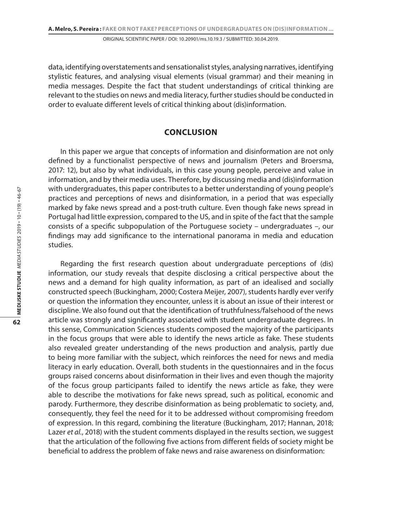data, identifying overstatements and sensationalist styles, analysing narratives, identifying stylistic features, and analysing visual elements (visual grammar) and their meaning in media messages. Despite the fact that student understandings of critical thinking are relevant to the studies on news and media literacy, further studies should be conducted in order to evaluate different levels of critical thinking about (dis)information.

## **CONCLUSION**

In this paper we argue that concepts of information and disinformation are not only defined by a functionalist perspective of news and journalism (Peters and Broersma, 2017: 12), but also by what individuals, in this case young people, perceive and value in information, and by their media uses. Therefore, by discussing media and (dis)information with undergraduates, this paper contributes to a better understanding of young people's practices and perceptions of news and disinformation, in a period that was especially marked by fake news spread and a post-truth culture. Even though fake news spread in Portugal had little expression, compared to the US, and in spite of the fact that the sample consists of a specific subpopulation of the Portuguese society – undergraduates –, our findings may add significance to the international panorama in media and education studies.

Regarding the first research question about undergraduate perceptions of (dis) information, our study reveals that despite disclosing a critical perspective about the news and a demand for high quality information, as part of an idealised and socially constructed speech (Buckingham, 2000; Costera Meijer, 2007), students hardly ever verify or question the information they encounter, unless it is about an issue of their interest or discipline. We also found out that the identification of truthfulness/falsehood of the news article was strongly and significantly associated with student undergraduate degrees. In this sense, Communication Sciences students composed the majority of the participants in the focus groups that were able to identify the news article as fake. These students also revealed greater understanding of the news production and analysis, partly due to being more familiar with the subject, which reinforces the need for news and media literacy in early education. Overall, both students in the questionnaires and in the focus groups raised concerns about disinformation in their lives and even though the majority of the focus group participants failed to identify the news article as fake, they were able to describe the motivations for fake news spread, such as political, economic and parody. Furthermore, they describe disinformation as being problematic to society, and, consequently, they feel the need for it to be addressed without compromising freedom of expression. In this regard, combining the literature (Buckingham, 2017; Hannan, 2018; Lazer *et al.*, 2018) with the student comments displayed in the results section, we suggest that the articulation of the following five actions from different fields of society might be beneficial to address the problem of fake news and raise awareness on disinformation: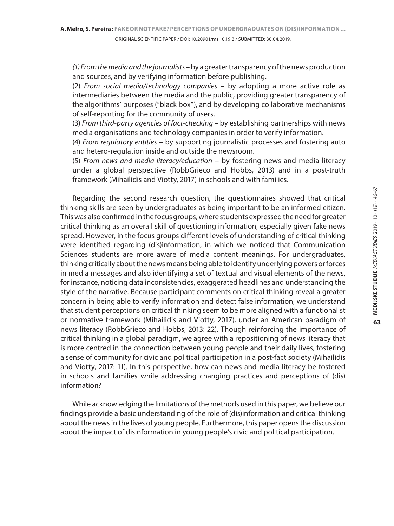*(1) From the media and the journalists* – by a greater transparency of the news production and sources, and by verifying information before publishing.

(2) *From social media/technology companies* – by adopting a more active role as intermediaries between the media and the public, providing greater transparency of the algorithms' purposes ("black box"), and by developing collaborative mechanisms of self-reporting for the community of users.

(3) *From third-party agencies of fact-checking* – by establishing partnerships with news media organisations and technology companies in order to verify information.

(4) *From regulatory entities* – by supporting journalistic processes and fostering auto and hetero-regulation inside and outside the newsroom.

(5) *From news and media literacy/education* – by fostering news and media literacy under a global perspective (RobbGrieco and Hobbs, 2013) and in a post-truth framework (Mihailidis and Viotty, 2017) in schools and with families.

Regarding the second research question, the questionnaires showed that critical thinking skills are seen by undergraduates as being important to be an informed citizen. This was also confirmed in the focus groups, where students expressed the need for greater critical thinking as an overall skill of questioning information, especially given fake news spread. However, in the focus groups different levels of understanding of critical thinking were identified regarding (dis)information, in which we noticed that Communication Sciences students are more aware of media content meanings. For undergraduates, thinking critically about the news means being able to identify underlying powers or forces in media messages and also identifying a set of textual and visual elements of the news, for instance, noticing data inconsistencies, exaggerated headlines and understanding the style of the narrative. Because participant comments on critical thinking reveal a greater concern in being able to verify information and detect false information, we understand that student perceptions on critical thinking seem to be more aligned with a functionalist or normative framework (Mihailidis and Viotty, 2017), under an American paradigm of news literacy (RobbGrieco and Hobbs, 2013: 22). Though reinforcing the importance of critical thinking in a global paradigm, we agree with a repositioning of news literacy that is more centred in the connection between young people and their daily lives, fostering a sense of community for civic and political participation in a post-fact society (Mihailidis and Viotty, 2017: 11). In this perspective, how can news and media literacy be fostered in schools and families while addressing changing practices and perceptions of (dis) information?

While acknowledging the limitations of the methods used in this paper, we believe our findings provide a basic understanding of the role of (dis)information and critical thinking about the news in the lives of young people. Furthermore, this paper opens the discussion about the impact of disinformation in young people's civic and political participation.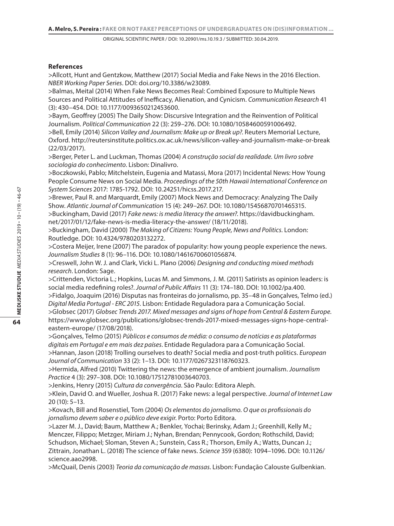#### **References**

>Allcott, Hunt and Gentzkow, Matthew (2017) Social Media and Fake News in the 2016 Election. *NBER Working Paper Series*. DOI: doi.org/10.3386/w23089.

>Balmas, Meital (2014) When Fake News Becomes Real: Combined Exposure to Multiple News Sources and Political Attitudes of Inefficacy, Alienation, and Cynicism. *Communication Research* 41 (3): 430–454. DOI: 10.1177/0093650212453600.

>Baym, Geoffrey (2005) The Daily Show: Discursive Integration and the Reinvention of Political Journalism. *Political Communication* 22 (3): 259–276. DOI: 10.1080/10584600591006492.

>Bell, Emily (2014) *Silicon Valley and Journalism: Make up or Break up?*. Reuters Memorial Lecture, Oxford. http://reutersinstitute.politics.ox.ac.uk/news/silicon-valley-and-journalism-make-or-break (22/03/2017).

>Berger, Peter L. and Luckman, Thomas (2004) *A construção social da realidade. Um livro sobre sociologia do conhecimento*. Lisbon: Dinalivro.

>Boczkowski, Pablo; Mitchelstein, Eugenia and Matassi, Mora (2017) Incidental News: How Young People Consume News on Social Media. *Proceedings of the 50th Hawaii International Conference on System Sciences* 2017: 1785-1792. DOI: 10.24251/hicss.2017.217.

>Brewer, Paul R. and Marquardt, Emily (2007) Mock News and Democracy: Analyzing The Daily Show. *Atlantic Journal of Communication* 15 (4): 249–267. DOI: 10.1080/15456870701465315. >Buckingham, David (2017) *Fake news: is media literacy the answer?*. https://davidbuckingham. net/2017/01/12/fake-news-is-media-literacy-the-answer/ (18/11/2018).

>Buckingham, David (2000) *The Making of Citizens: Young People, News and Politics*. London: Routledge. DOI: 10.4324/9780203132272.

>Costera Meijer, Irene (2007) The paradox of popularity: how young people experience the news. *Journalism Studies* 8 (1): 96–116. DOI: 10.1080/14616700601056874.

>Creswell, John W. J. and Clark, Vicki L. Plano (2006) *Designing and conducting mixed methods research*. London: Sage.

>Crittenden, Victoria L.; Hopkins, Lucas M. and Simmons, J. M. (2011) Satirists as opinion leaders: is social media redefining roles?. *Journal of Public Affairs* 11 (3): 174–180. DOI: 10.1002/pa.400. >Fidalgo, Joaquim (2016) Disputas nas fronteiras do jornalismo, pp. 35–48 in Gonçalves, Telmo (ed.) *Digital Media Portugal - ERC 2015*. Lisbon: Entidade Reguladora para a Comunicação Social.

>Globsec (2017) *Globsec Trends 2017. Mixed messages and signs of hope from Central & Eastern Europe.* https://www.globsec.org/publications/globsec-trends-2017-mixed-messages-signs-hope-centraleastern-europe/ (17/08/2018).

>Gonçalves, Telmo (2015) *Públicos e consumos de média: o consumo de notícias e as plataformas digitais em Portugal e em mais dez países*. Entidade Reguladora para a Comunicação Social. >Hannan, Jason (2018) Trolling ourselves to death? Social media and post-truth politics. *European Journal of Communication* 33 (2): 1–13. DOI: 10.1177/0267323118760323.

>Hermida, Alfred (2010) Twittering the news: the emergence of ambient journalism. *Journalism Practice* 4 (3): 297–308. DOI: 10.1080/17512781003640703.

>Jenkins, Henry (2015) *Cultura da convergência*. São Paulo: Editora Aleph.

>Klein, David O. and Wueller, Joshua R. (2017) Fake news: a legal perspective. *Journal of Internet Law* 20 (10): 5–13.

>Kovach, Bill and Rosenstiel, Tom (2004) *Os elementos do jornalismo. O que os profissionais do jornalismo devem saber e o público deve exigir*. Porto: Porto Editora.

>Lazer M. J., David; Baum, Matthew A.; Benkler, Yochai; Berinsky, Adam J.; Greenhill, Kelly M.; Menczer, Filippo; Metzger, Miriam J.; Nyhan, Brendan; Pennycook, Gordon; Rothschild, David; Schudson, Michael; Sloman, Steven A.; Sunstein, Cass R.; Thorson, Emily A.; Watts, Duncan J.; Zittrain, Jonathan L. (2018) The science of fake news. *Science* 359 (6380): 1094–1096. DOI: 10.1126/ science.aao2998.

>McQuail, Denis (2003) *Teoria da comunicação de massas*. Lisbon: Fundação Calouste Gulbenkian.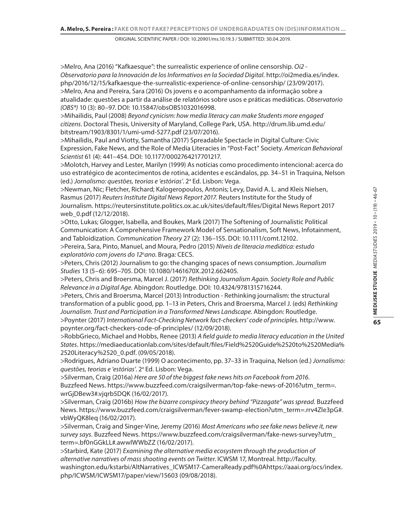>Melro, Ana (2016) "Kafkaesque": the surrealistic experience of online censorship. *Oi2 - Observatorio para la Innovación de los Informativos en la Sociedad Digital.* http://oi2media.es/index. php/2016/12/15/kafkaesque-the-surrealistic-experience-of-online-censorship/ (23/09/2017). >Melro, Ana and Pereira, Sara (2016) Os jovens e o acompanhamento da informação sobre a atualidade: questões a partir da análise de relatórios sobre usos e práticas mediáticas. *Observatorio (OBS\*)* 10 (3): 80–97. DOI: 10.15847/obsOBS1032016998.

>Mihailidis, Paul (2008) *Beyond cynicism: how media literacy can make Students more engaged citizens*. Doctoral Thesis, University of Maryland, College Park, USA. http://drum.lib.umd.edu/ bitstream/1903/8301/1/umi-umd-5277.pdf (23/07/2016).

>Mihailidis, Paul and Viotty, Samantha (2017) Spreadable Spectacle in Digital Culture: Civic Expression, Fake News, and the Role of Media Literacies in "Post-Fact" Society. *American Behavioral Scientist* 61 (4): 441–454. DOI: 10.1177/0002764217701217.

>Molotch, Harvey and Lester, Marilyn (1999) As notícias como procedimento intencional: acerca do uso estratégico de acontecimentos de rotina, acidentes e escândalos, pp. 34–51 in Traquina, Nelson (ed.) Jornalismo: questões, teorias e 'estórias'. 2<sup>ª</sup> Ed. Lisbon: Vega.

>Newman, Nic; Fletcher, Richard; Kalogeropoulos, Antonis; Levy, David A. L. and Kleis Nielsen, Rasmus (2017) *Reuters Institute Digital News Report 2017.* Reuters Institute for the Study of Journalism. https://reutersinstitute.politics.ox.ac.uk/sites/default/files/Digital News Report 2017 web\_0.pdf (12/12/2018).

>Otto, Lukas; Glogger, Isabella, and Boukes, Mark (2017) The Softening of Journalistic Political Communication: A Comprehensive Framework Model of Sensationalism, Soft News, Infotainment, and Tabloidization. *Communication Theory* 27 (2): 136–155. DOI: 10.1111/comt.12102.

>Pereira, Sara, Pinto, Manuel, and Moura, Pedro (2015) *Níveis de literacia mediática: estudo*  exploratório com jovens do 12° ano. Braga: CECS.

>Peters, Chris (2012) Journalism to go: the changing spaces of news consumption. *Journalism Studies* 13 (5–6): 695–705. DOI: 10.1080/1461670X.2012.662405.

>Peters, Chris and Broersma, Marcel J. (2017) *Rethinking Journalism Again. Society Role and Public Relevance in a Digital Age*. Abingdon: Routledge. DOI: 10.4324/9781315716244.

>Peters, Chris and Broersma, Marcel (2013) Introduction - Rethinking journalism: the structural transformation of a public good, pp. 1–13 in Peters, Chris and Broersma, Marcel J. (eds) *Rethinking Journalism. Trust and Participation in a Transformed News Landscape*. Abingdon: Routledge.

>Poynter (2017) *International Fact-Checking Network fact-checkers' code of principles*. http://www. poynter.org/fact-checkers-code-of-principles/ (12/09/2018).

>RobbGrieco, Michael and Hobbs, Renee (2013) *A field guide to media literacy education in the United States*. https://mediaeducationlab.com/sites/default/files/Field%2520Guide%2520to%2520Media% 2520Literacy%2520\_0.pdf. (09/05/2018).

>Rodrigues, Adriano Duarte (1999) O acontecimento, pp. 37–33 in Traquina, Nelson (ed.) *Jornalismo: questões, teorias e 'estórias'*. 2a Ed. Lisbon: Vega.

>Silverman, Craig (2016a) *Here are 50 of the biggest fake news hits on Facebook from 2016.*  Buzzfeed News. https://www.buzzfeed.com/craigsilverman/top-fake-news-of-2016?utm\_term=. wrGjDBew3#.vjqrb5DQK (16/02/2017).

>Silverman, Craig (2016b) *How the bizarre conspiracy theory behind "Pizzagate" was spread*. Buzzfeed News. https://www.buzzfeed.com/craigsilverman/fever-swamp-election?utm\_term=.rrv4Zle3pG#. vbWyQK8leq (16/02/2017).

>Silverman, Craig and Singer-Vine, Jeremy (2016) *Most Americans who see fake news believe it, new survey says.* Buzzfeed News. https://www.buzzfeed.com/craigsilverman/fake-news-survey?utm\_ term=.bf0nGGkLL#.awwlWWbZZ (16/02/2017).

>Starbird, Kate (2017) *Examining the alternative media ecosystem through the production of alternative narratives of mass shooting events on Twitter*. ICWSM 17, Montreal. http://faculty. washington.edu/kstarbi/AltNarratives\_ICWSM17-CameraReady.pdf%0Ahttps://aaai.org/ocs/index. php/ICWSM/ICWSM17/paper/view/15603 (09/08/2018).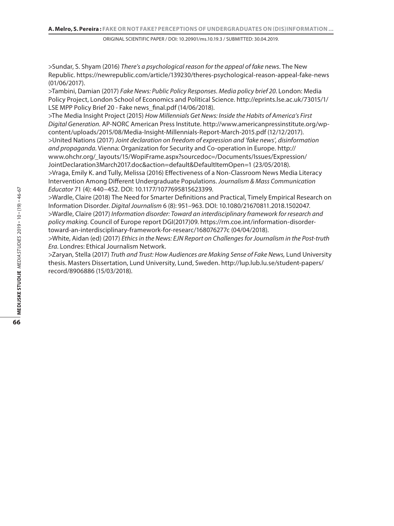>Sundar, S. Shyam (2016) *There's a psychological reason for the appeal of fake news*. The New Republic. https://newrepublic.com/article/139230/theres-psychological-reason-appeal-fake-news (01/06/2017).

>Tambini, Damian (2017) *Fake News: Public Policy Responses. Media policy brief 20*. London: Media Policy Project, London School of Economics and Political Science. http://eprints.lse.ac.uk/73015/1/ LSE MPP Policy Brief 20 - Fake news\_final.pdf (14/06/2018).

>The Media Insight Project (2015) *How Millennials Get News: Inside the Habits of America's First Digital Generation.* AP-NORC American Press Institute. http://www.americanpressinstitute.org/wpcontent/uploads/2015/08/Media-Insight-Millennials-Report-March-2015.pdf (12/12/2017). >United Nations (2017) *Joint declaration on freedom of expression and 'fake news', disinformation and propaganda.* Vienna: Organization for Security and Co-operation in Europe. http:// www.ohchr.org/\_layouts/15/WopiFrame.aspx?sourcedoc=/Documents/Issues/Expression/ JointDeclaration3March2017.doc&action=default&DefaultItemOpen=1 (23/05/2018). >Vraga, Emily K. and Tully, Melissa (2016) Effectiveness of a Non-Classroom News Media Literacy

Intervention Among Different Undergraduate Populations. *Journalism & Mass Communication Educator* 71 (4): 440–452. DOI: 10.1177/1077695815623399.

>Wardle, Claire (2018) The Need for Smarter Definitions and Practical, Timely Empirical Research on Information Disorder. *Digital Journalism* 6 (8): 951–963. DOI: 10.1080/21670811.2018.1502047. >Wardle, Claire (2017) *Information disorder: Toward an interdisciplinary framework for research and policy making.* Council of Europe report DGI(2017)09. https://rm.coe.int/information-disordertoward-an-interdisciplinary-framework-for-researc/168076277c (04/04/2018).

>White, Aidan (ed) (2017) *Ethics in the News: EJN Report on Challenges for Journalism in the Post-truth Era*. Londres: Ethical Journalism Network.

>Zaryan, Stella (2017) *Truth and Trust: How Audiences are Making Sense of Fake News,* Lund University thesis. Masters Dissertation, Lund University, Lund, Sweden. http://lup.lub.lu.se/student-papers/ record/8906886 (15/03/2018).